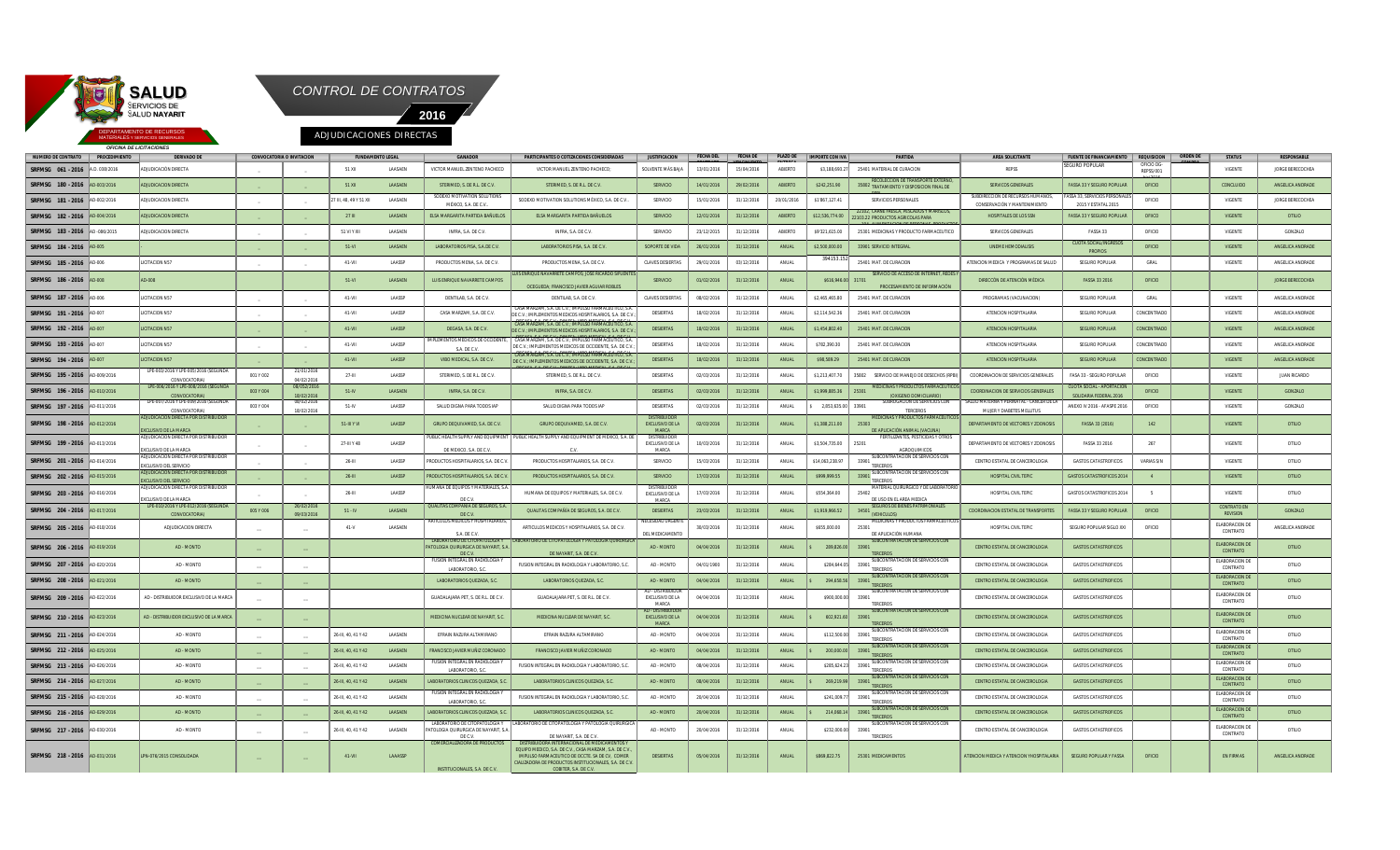

*OFICINA DE LICITACIONES*



**SRFMSG 061-2016 |**A.D.038/2016 |ADJUDICACIÓN DIRECTA | \_ | 51XI LAASAEN | VICTOR MANUEL ZENTENO PACHECO | VICTOR MANUEL ZENTENO PACHECO | SOLVENTE MÁS BAN | 13/01/2016 | 15/04/2016 | ABIERTO | S\$,188,693.27| 25401 MATERI EGURO POPULAR **OFICIO DG** REPSS/001 oficio VIGENTE JORGE BERECOCHEA **SRFMSG 180 - 2016** AD-003/2016 ADJUDICACION DIRECTA \_ \_ 51 XII LAASAEN STERIMED, S. DE R.L. DE C.V. STERIMED, S. DE R.L. DE C.V. SERVICIO 14/01/2016 29/02/2016 ABIERTO \$242,251.90 35802 RECOLECCION TRATAMIENTO Y DISPOSICION FINAL DE **CEDUICIOS DEDSONALES** SERVICOS GENERALES **FASSA 33 Y SEGURO POPULAR OFICIO CONCLUIDO CONCLUIDO** ANGELICA ANDRADE **SRFMSG 181 - 2016** AD-002/2016 ADJUDICACION DIRECTA \_ \_ 27 III, 48, 49 Y 51 XII LAASAEN SODEXO MOTIVATION SOLUTION MÉXICO, S.A. DE C.V.. SODEXO MOTIVATION SOLUTIONS MÉXICO, S.A. DE C.V... SERVICIO I SERVIZIONAL I 21/12/2016 I SOPRIZIONALES PERSONALES **DIRECCIÓN DE RECURSOS HUMA** CONSERVACIÓN Y MANTENIMIENTO **SA 33, SERVICIOS PER** 2015 Y ESTATAL 2015 OFICIO **I** VIGENTE **JORGE BERECOCHEA SRFMSG 182 - 2016** AD-004/2016 ADJUDICACION DIRECTA \_ \_ 27 III LAASAEN ELSA MARGARITA PARTIDA BAÑUELOS ELSA MARGARITA PARTIDA BAÑUELOS SERVICIO 12/01/2016 31/12/2016 ABIERTO \$12,536,774.00 22102, CARNE FRESCA, PESCADOS Y MARISCOS, 22103.22 104, ALIMENTACION DE PERSONAS, PRODUCTOS PRODUCTOS AGRICOLAS PARA HOSPITALES DE LOS SSN FASSA 33 Y SEGURO POPULAR OFIICO VIGENTE OTILIO SRFMUSG 183.-2016 AD-086/2015 ADJUDICACION.DIRECTA | LI SIVIXII LAASAEN | INFRA,SA.DEC.V. | SERVIOO |23/12/2015 |30/12/2016 |ABERTO |97321,615.00 |2501/MEONDASYPRODUCTOFARMACEUTICO | SERVIOOSGENERALES | FASSA33 | OFIOO | V **SRFMSG 184 - 2016** AD-005 - \_ \_ 51-VI LAASAEN LABORATORIOS PISA, S.A.DE C.V. LABORATORIOS PISA, S.A. DE C.V. SOPORTE DE VIDA 26/01/2016 31/12/2016 ANUAL \$2,500,000.00 33901 SERVICIO INTEGRAL UNEME HEMODIALISIS TA SOCIAL/INGRES PROPIOS OFICIO **CONTE ANGELICA ANDRADE SRFMSG 185 - 2016** AD-006 LICITACION N57 \_ \_ 41-VII LAASSP PRODUCTOS MENA, S.A. DE C.V. PRODUCTOS MENA, S.A. DE C.V. CLAVES DESIERTAS 29/01/2016 03/12/2016 ANUAL 394153 25401 MAT. DE CURACION **ATENCION MEDICA Y PROGRAMAS DE SALUD** SEGURO POPULAR GRAL GRAL VIGENTE ANGELICA ANDRADE **SRFMSG 186 - 2016** AD-008 AD-008 AD-008 AD-008 AD-008 AD-008 AD-008 AD-008 AD-008 AD-008 AD-008 AD-008 AD-008 AD-008 AD-008 AD-008 AD-008 AD-008 AD-008 AD-008 AD-008 AD-008 AD-008 AD-008 AD-008 AD-008 AD-008 AD-008 AD-0 **NAVARRETE CAMPOS: JOSÉ RICARDO** OCEGUEDA; FRANCISCO JAVIER AGUIAR ROBLE SERVICIO 01/02/2016 31/12/2016 ANUAL \$616,946 SERVICIO DE ACCESO DE INTERNET, RE PROCESAMIENTO DE INFORMA DIRECCÓN DE ATENCIÓN MÉDICA FASSA 33 2016 OFICIO JORGE BERECOCHEA SRFMSG 187-2016 AD-006 NC0TACIONN57 | \_ | \_ | 41-W LAASSP DENTLAB,SA.DEC.V. | DENTLAB,SA.DEC.V. | QAVIS.DEGERTAS | 08/02/2016 | 31/12/2016 | 31/12/2016 | 2601-007-000 | 25001-007-0000 | SEGURO-POPULAR | GRAL | VIGENTE | AN **SRFMSG 191 - 2016** AD-007 LICITACION N57 \_ \_ 41-VII LAASSP CASA MARZAM, S.A. DE C.V. S.A. DE C.V.; IMPULS DE C.V.; IMPLEMENTOS MEDICOS HOSPITALARIOS, S.A. DE C.V.; CASA MARZAM, S.A. DE C.V.; IMPULSO FARMACEUTICO, S.A. DESIERTAS || 18/02/2016 || 31/12/2016 || ANUAL || \$2,114,542.36 || 25401 MAT. DE CURACION | ATENCION HOSPITALARIA || SEGURO POPULAR || CONCENTRADO || || VIGENTE || ANGELICA ANDRADE **SRFMSG 192 - 2016** AD-007 LICITACION N57 \_ \_ 41-VII LAASSP DEGASA, S.A. DE C.V. DE C.V.; IMPLEMENTOS MEDICOS HOSPITALARIOS, S.A. DE C.V.; ZAM, S.A. DE C.V.; IMPL DESIERTAS || 18/02/2016 || 31/12/2016 || ANUAL || \$1,454,802.40 || 25401 MAT. DE CURACION ATENCION HOSPITALARIA || SEGURO POPULAR || CONCENTRADO || || VIGENTE || ANGELICA ANDRADE **SRFMSG 193 - 2016** AD-007 LICITACION N57 **AD-007** \_ \_ **41-VII LAASSP** IMPLEMENTOS MEDICOS DE OCCIDENTE, S.A. DE C.V. CASA MARZAM, S.A. DE C.V.; IMPULSO FARMACEUTICO, S.A. DE C.V.; IMPLEMENTOS MEDICOS DE OCCIDENTE, S.A. DE C.V.; CASA MARZAM, S.A. DE C.V.; IMPULSO FARMACEUTICO, S.A. DESIERTAS || 18/02/2016 || 31/12/2016 || ANUAL || \$782,390.30 || 25401 MAT. DE CURACION || ATENCION HOSPITALARIA || SEGURO POPULAR || CONCENTRADO || || VIGENTE || ANGELICA ANDRADE **SRFMSG 194 - 2016** AD-007 LICITACION N57 \_ \_ 41-VII LAASSP VIBO MEDICAL, S.A. DE C.V. DE C.V.; IMPLEMENTOS MEDICOS DE OCCIDENTE, S.A. DE C. DEGASA, S.A. DE C.V.; DIMESA; VIBO MEDICAL, S.A. DE C.V. DESIERTAS || 18/02/2016 || 31/12/2016 || ANUAL || \$98,589.29 || 25401 MAT. DE CURACION ATENCION HOSPITALARIA || SEGURO POPULAR || CONCENTRADO || || VIGENTE || ANGELICA ANDRADE **SRFMSG 195 - 2016** AD-009/2016 PE-003/2016 Y LPE-005/20 CONVOCATORIA) 001 Y 002 21/01/2016 04/02/2016 27-III LAASSP | STERIMED,S.DER.L.DEC.V. | STERIMED,S.DER.L.DEC.V. | DESIERTAS | 02/03/2016 31/12/2016 | ANUAL |\$1,213,407.70 |35802 SERVICIODEMANED.DEDESECHOS(RPBI)| COORDINACION.DESERVICIOS GENERALES | FASA 33-SEGURO POPU **SRFMSG 196 - 2016**  LPE-006/2016 Y LPE-008/2016 (SEGUNDA CONVOCATORIA) 003 Y 004 08/052/2016 18/02/2016 51-IV LAASAEN INFRA, S.A. DE C.V. INFRA, S.A. DE C.V. DESIERTAS 02/03/2016 31/12/2016 ANUAL \$1,999,885.36 25301 MEDICINAS Y PRODUCTOS FARMACEUTICOS (OXIGENO DOMICILIARIO) COORDINACION DE SERVICIOS GENERALE A SOCIAL - APORTAC SOLIDARIA FEDERAL 2016 OFICIO **di contra di sugente di conzalo SRFMSG 197 - 2016** AD-011/2016 E-007/2016 Y LPE-009/20 CONVOCATORIA) 003 Y 004 08/02/2016 18/02/2016 51-IV LAASSP SALUD DIGNA PARA TODOS IAP SALUD DIGNA PARA TODOS IAP DESIERTAS 02/03/2016 31/12/2016 ANUAL \$ 2,853,635.00 33901 SUBROGACION DE SERVICIOS CON TERCEROS SALUD MATERNA Y PERINATAL - CANCER DE LA MUJER Y DIABETES MELLITUS ANEXO IV 2016 - AFASPE 2016 OFICIO VIGENTE GONZALO **SRFMSG 198 - 2016** AD-012/2016 ADJUDICACION DIRECTA POR DISTRIBUIDOR **EXAMPLE LA MARCA** 51-III Y VI LAASSP GRUPO DEQUIVAMED, S.A. DE C.V. GRUPO DEQUIVAMED, S.A. DE C.V. DISTRIBUIDOR EXCLUSIVO DE LA **MARCA** 31/12/2016 ANUAL \$1,388,211.00 2530 MEDICINAS Y PRODUCTOS FARMACEUTICOS DE APLICACIÓN ANIMAL (VACUNA) DEPARTAMENTO DE VECTORES Y ZOONOSIS FASSA 33 (2016) 142 VIGENTE VIGENTE I OTILIO **SRFMSG 199 - 2016** AD-013/2016 DICACION DIRECTA POR DISTRIBI EXCLUSIVO DE LA MARCA \_ \_ 27-III Y 48 LAASSP **JBLIC HEALTH SUPPLY AND EQUIPME** DE MEXICO, S.A. DE C.V. **JBLIC HEALTH SUPPLY AND EQUIPMENT DE MEXICO, S.A. D** C.V. DISTRIBUIDOR EXCLUSIVO DE LA MARCA 10/03/2016 31/12/2016 ANUAL \$3,504,735.00 25201 **FERTILIZANTES, PESTICIDAS Y OTRO** AGROQUIMICOS DEPARTAMENTO DE VECTORES Y ZOONOSIS FASSA 33 2016 267 VIGENTE OTILIO **SRFMSG 201 - 2016** AD-014/2016 ADJUDICACION DIRECTA POR DISTRIBUIDOR **SIVO DEL SERVICIO** 26-III LAASSP PRODUCTOS HOSPITALARIOS, S.A. DE C.V. PRODUCTOS HOSPITALARIOS, S.A. DE C.V. SERVICIO \$15/03/2016 31/12/2016 ANUAL \$14,063,238.97 SUBCONTRATACION DE SERVICIOS CON TERCEROS CENTRO ESTATAL DE CANCEROLOGIA GASTOS CATASTROFICOS VARIAS S/N VIGENTE OTILIO **SRFMSG 202 - 2016** AD-015/2016 ADJUDICACION DIRECTA POR DISTRIBUIDOR SIVO DEL SERVICI \_ \_ 26-III LAASSP PRODUCTOS HOSPITALARIOS, S.A. DE C.V. PRODUCTOS HOSPITALARIOS, S.A. DE C.V. SERVICIO 17/03/2016 31/12/2016 ANUAL \$999,999.55 33901 SUBCONTRATACION DE SERVICIOS CON **TERCEROS** HOSPITAL CIVIL TEPIC GASTOS CATASTROFICOS 2014 4 VIGENTE COTILIO **SRFMSG 203 - 2016** AD-016/2016 ADJUDICACION DIRECTA POR DISTRIBUIDOR .<br>SIVO DE LA MARCA \_ \_ 26-III LAASSP A DE EQUIPOS Y MATERIALES. DE C.V.<br>QUALITAS COMPAÑÍA DE SEGUROS, S.A. HUMANA DE EQUIPOS Y MATERIALES, S.A. DE C.V. DISTRIBUIDOR EXCLUSIVO DE LA MARCA 17/03/2016 31/12/2016 **ANUAL \$554,364.00** MATERIAL QUIRURGICO Y DE LABORATORIO DE USO EN EL AREA MEDICA HOSPITAL CIVIL TEPIC GASTOS CATASTROFICOS 2014 5 VIGENTE OTILIO **SRFMSG 204 - 2016** AD-017/2016 LPE-010/2016 Y LPE-012/2016 (SEGUNDA CONVOCATORIA) 005 Y 006 26/02/2016 09/03/2016 51 - IV LAASAEN DE C.V. QUALITAS COMPAÑÍA DE SEGUROS, S.A. DE C.V. DESIERTAS 23/03/2016 31/12/2016 ANUAL \$1,919,966.52 34501 SEGUROS DE BIENES (VEHICULOS) COORDINACION ESTATAL DE TRANSPORTES FASSA 33 Y SEGURO POPULAR OFICIO CONTRATO EN CONTRATO EN CONTRATO EN GONZALO<br>REVISION CONZALO **SRFMSG 205 - 2016** AD-018/2016 ADJUDICACION DIRECTA \_\_ \_\_ 41-V LAASAEN **ARTICULOS MEDICOS Y HOSPITALARIO** S.A. DE C.V. ARTICULOS MEDICOS Y HOSPITALARIOS, S.A. DE C.V. ECESIDAD URGENT L MEDICAMEN 30/03/2016 31/12/2016 ANUAL \$655,000.00 25301 MEDICINAS Y PRODUCTOS FARMACEUTICO DE APLICACIÓN HUMANA HOSPITAL CIVIL TEPIC SEGURO POPULAR SIGLO XXI OFICIO ELABORACION DE ANGELICA ANDRADE **SRFMSG 206** - 2016 **AD-019/2016 AD-019** AD-MONTO **AD-MONTO AD-MONTO** LABORATORIO DE CITOPATOLOGIA Y PATOLOGIA QUIRURGICA DE NAYARIT, S.A. DE C.V. LABORATORIO DE CITOPATOLOGIA Y PATOLOGIA QUIRURGICA DE NAYARIT, S.A. DE C.V. AD - MONTO 04/04/2016 31/12/2016 ANUAL S 289,826.00 33901 SUBCONTRATACION DE SERVICIOS CON **TERCEROS** CENTRO ESTATAL DE CANCEROLOGIA GASTOS CATASTROFICOS ELABORACION DE LABORACION DE **contrato SRFMSG** 207 - 2016 AD-020/2016 **AD-020 AD-MONTO** AD-MONTO **AD-MONTO**  $\qquad$ FUSION INTEGRAL EN RADIOLOGIA Y LABORATORIO, S.C. FUSION INTEGRAL EN RADIOLOGIA Y LABORATORIO, S.C. AD - MONTO 04/01/1900 31/12/2016 ANUAL \$284,644.05 33901 SUBCONTR<sub>a</sub> **TERCEROS** CENTRO ESTATAL DE CANCEROLOGIA GASTOS CATASTROFICOS ELABORACION DE LABORACION DE **OTILIO SRFMSG 208 - 2016** AD-021/2016 AD - MONTO \_\_ \_\_ LABORATORIOS QUEZADA, S.C. LABORATORIOS QUEZADA, S.C. AD - MONTO 04/04/2016 31/12/2016 ANUAL \$ 294,658.56 33901 SUBCONTRATACION DE SER TERCEROS CENTRO ESTATAL DE CANCEROLOGIA GASTOS CATASTROFICOS EL ELABORACION DE CANCEROLOGIA CONTRATO OTILIO **SRFMSG 209 - 2016** AD-022/2016 AD-023/2016 AD - DISTRIBUIDOR EXCLUSIVO DE LA MARCA **\_\_ \_\_ \_\_ \_\_ \_\_ \_\_ \_\_ \_\_ \_\_ \_\_** GUADALAJARA PET, S. DE R.L. DE C.V. GUADALAJARA PET, S. DE R.L. DE C.V. AD - DISTRIBUIDOR EXCLUSIVO DE LA MARCA 04/04/2016 31/12/2016 ANUAL \$900,000.00 33901 SUBCONTRATACION DE SERVICIOS CON **TERCEROS** CENTRO ESTATAL DE CANCEROLOGIA GASTOS CATASTROFICOS ELABORACION DE ABORACION DE OTILIO **SRFMSG 210 - 2016** AD-023/2016 AD-023/2016 AD-035TRIBUIDOR EXCLUSIVO DE LA MARCA **ADALCA DE MEDICINA NUCLEAR DE NAYARIT, DE MEDICINA NUCLEAR DE NAYARIT, S.C. MEDICINA NUCLEAR DE NAYARIT, S.C. MEDICINA NUCLEAR DE NAYARIT** AD - DISTRIBUIDOR EXCLUSIVO DE LA MARCA 04/04/2016 31/12/2016 ANUAL \$ 602,921.60 33901 SUBCONTRATACION DE SERVICIOS CON TERCEROS CENTRO ESTATAL DE CANCEROLOGIA GASTOS CATASTROFICOS ELABORACION DE ABORACION DE OTILIO **SRFMSG 211 - 2016** AD-024/2016 AD - MONTO \_\_ \_\_ 26-III, 40, 41 Y 42 LAASAEN EFRAIN RAZURA ALTAMIRANO EFRAIN RAZURA ALTAMIRANO AD - MONTO 04/04/2016 31/12/2016 ANUAL \$112,500.00 33901 SUBCONTRATACION DE SERVICIOS CON TERCEROS CENTRO ESTATAL DE CANCEROLOGIA GASTOS CATASTROFICOS ABORACION DE OTILIO **SRFMSG 212 - 2016** AD-025/2016 AD - MONTO \_\_ \_\_ 26-III, 40, 41 Y 42 LAASAEN FRANCISCO JAVIER MUÑIZ CORONADO FRANCISCO JAVIER MUÑIZ CORONADO AD - MONTO 04/04/2016 31/12/2016 ANUAL \$ 200,000.00 33901 SUBCONTRATACION DE SERVICIOS CON TERCEROS CENTRO ESTATAL DE CANCEROLOGIA GASTOS CATASTROFICOS ELABORACION DE ABORACION DE OTILIO **SRFMSG** 213 - 2016 AD-026/2016 AD - AD - MONTO  $\begin{vmatrix} 26-111 & 40 & 41 & 42 \end{vmatrix}$  26-III, 40, 41 Y 42 LAASAEN FUSION INTEGRAL EN RADIOLOGIA Y LABORATORIO, S.C. FUSION INTEGRAL EN RADIOLOGIA Y LABORATORIO, S.C. AD - MONTO 08/04/2016 31/12/2016 ANUAL \$285,624.23 33901 SUBCONTRATACION DE SERVICIOS CON TERCEROS CENTRO ESTATAL DE CANCEROLOGIA  $\parallel$  GASTOS CATASTROFICOS  $\parallel$  el elaboracion de Elaboracion de Castos Catastroficos ABORACION DE OTILIO SRFMSG 214-2016 |AD-027/2016 | AD-MONTO | | | 26-11,40,41Y42 LAASAEN |LABORATORIOSCLINICOSCULEZADA,S.C. | ABORATORIOSCLINICOSCUEZADA,S.C. | AD-MONTO | 08/04/2016 | 31/12/2016 | ANUAL |\$ 269,219.99 33901 SUBCONTRATACION DE SERVICIOS CON TERCEROS CENTRO ESTATAL DE CANCEROLOGIA **CASTOS CATASTROFICOS** LABORACION DE **OTILIO SRFMSG 215 - 2016** AD-028/2016 **AD - AD - MONTO**  $\begin{vmatrix} 1 & 26 & 10 \\ 2 & -1 & 4 \end{vmatrix}$  **26-III, 40, 41 Y 42 LAASAEN** ION INTEGRAL EN RADIOLOGIA LABORATORIO, S. FUSION INTEGRAL EN RADIOLOGIA Y LABORATORIO, S.C. AD - MONTO 20/04/2016 31/12/2016 ANUAL \$241,009.77 33901 SUBCONTRATACION DE SERVICIOS CON **TERCEROS** CENTRO ESTATAL DE CANCEROLOGIA **CASTOS CATASTROFICO**S ABORACION DE OTILIO SRFMSG 216~2016 |AD-029/2016 | AD-MONTO | | | 26-III,40,41Y42 LAASAEN |LABORATORIOSCLURADOSCUEZADA,S.C. | ABORATORIOSCUEZADA,S.C. | AD-MONTO | 20/04/2016 | 31/12/2016 | ANUAL |\$ 214,068.14| 33901 SUBCONTRATACION DE SERVICIOS CON **TERCERO** CENTRO ESTATAL DE CANCEROLOGIA GASTOS CATASTROFICOS **entra en el componente de la catacción de la catacción** de ABORACION DE **OTILIO SRFMSG 217 - 2016** AD-030/2016 AD - MONTO \_\_ \_\_ 26-III, 40, 41 Y 42 LAASAEN **ATORIO DE CITOPATOLOGIA BORN DRO DE SHOLATOLOGIA I**<br>ILOGIA QUIRURGICA DE NAYARIT, S DE C.V.<br>COMERCIALIZADORA DE PRODUCTOS LABORATORIO DE CITOPATOLOGIA Y PATOLOGIA QUIRURGICA DE NAYARIT, S.A. DE C.V. AD - MONTO || 20/04/2016 || 31/12/2016 || ANUAL || \$232,000.00|| 33901 SUBCONTRATACION DE SERVICIOS CON .<br>TERCERO CENTRO ESTATAL DE CANCEROLOGIA GASTOS CATASTROFICOS ELABORACION DE ABORACION DE OTILIO **SRFMSG 218 - 2016** AD-031/2016 LPN-076/2015 CONSOLIDADA \_\_ \_\_ 41-VII LAAASSP INSTITUCIONALES, S.A. DE C.V. DISTRIBUIDORA INTERNACIONAL DE MEDICAMENTOS Y EQUIPO MEDICO, S.A. DE C.V., CASA MARZAM, S.A. DE C.V., IMPULSO FARMACEUTICO DE OCCTE. SA DE CV ALIZADORA DE PRODUCTOS INSTITUCIONALES, S.A. DE C. COBITER, S.A. DE C.V. DESIERTAS 05/04/2016 31/12/2016 ANUAL \$869,822.75 25301 MEDICAMENTOS ATENCION MEDICA Y ATENCION MEDICA Y FASSA OFICIO EN FIRMAS ANGELICA ANDRADE NUMERO DE CONTRATO | PROCEDIMIENTO | DERIVADO DE | CONVOCATORIA DIWITACION | FUNDAMENTO LEGAL | GANADOR | PARTICIPANTES O COTIZACIONES CONSIDERADAS | JUSTIFICACION **CONTRATO FECHA DEL FECHA DE | VENCIMIENTO PLAZO DE | IMPORTE CON IVA ABIERTO PARTIDA AREA SOLICITANTE FUENTE DE FINANCIAMIENTO REQUISICION ORDEN DE RESPONSABLE COMPRA STATUS**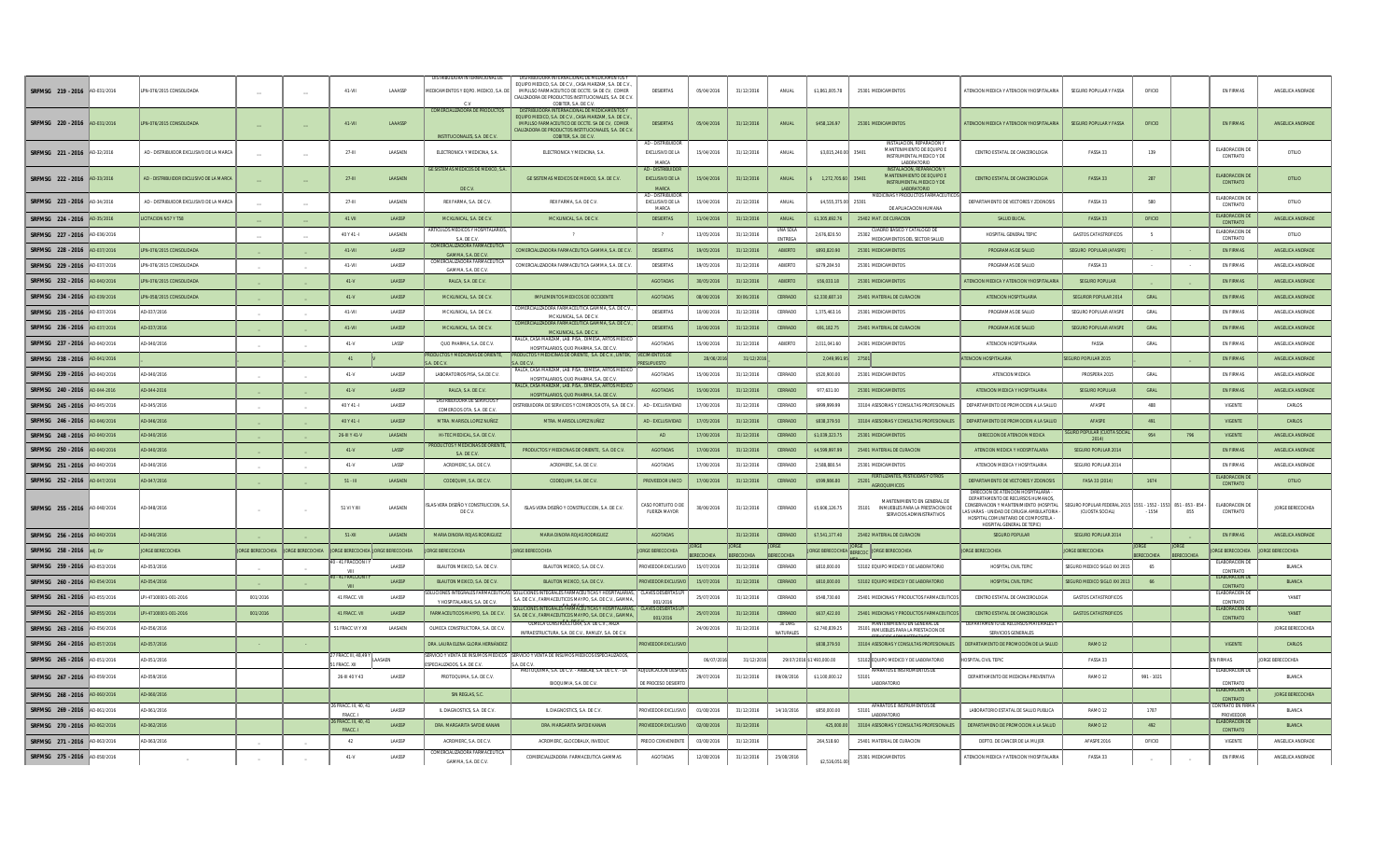| SRFMSG 219 - 2016             | AD-031/2016 | PN-076/2015 CONSOLIDADA                 |                         |                          | 41-VII                                      | LAAASSP        | DISTRIBUIDORA INTERNACIONAL DI<br>MEDICAMENTOS Y EQPO. MEDICO. S.A.  | DISTRIBUIDORA INTERNACIONAL DE MEDICAMENTOS<br>EQUIPO MEDICO, S.A. DE C.V., CASA MARZAM, S.A. DE C.V<br>IMPULSO FARMACEUTICO DE OCCTE. SA DE CV. COMER<br>CIALIZADORA DE PRODUCTOS INSTITUCIONALES S.A. DE C.V.<br>COBITER, S.A. DE C.V. | DESIERTAS                                            | 05/04/2016 | 31/12/2016       | ANUAL                      | \$1,861,005.78       | 25301 MEDICAMENTOS                                                                                              | ATENCION MEDICA Y ATENCION YHOSPITALARIA                                                                                                                                                         | SEGURO POPULAR Y FASSA                                                         | OFICIO          |                          | <b>EN FIRMAS</b>                  | ANGELICA ANDRADE        |
|-------------------------------|-------------|-----------------------------------------|-------------------------|--------------------------|---------------------------------------------|----------------|----------------------------------------------------------------------|------------------------------------------------------------------------------------------------------------------------------------------------------------------------------------------------------------------------------------------|------------------------------------------------------|------------|------------------|----------------------------|----------------------|-----------------------------------------------------------------------------------------------------------------|--------------------------------------------------------------------------------------------------------------------------------------------------------------------------------------------------|--------------------------------------------------------------------------------|-----------------|--------------------------|-----------------------------------|-------------------------|
| SRFMSG 220 - 2016 AD-031/2016 |             | PN-076/2015 CONSOLIDADA                 |                         |                          | 41-VII                                      | <b>LAAASSP</b> | COMERCIALIZADORA DE PRODUCTOS<br>INSTITUCIONALES, S.A. DE C.V.       | DISTRIBUIDORA INTERNACIONAL DE MEDICAMENT<br>EQUIPO MEDICO, S.A. DE C.V., CASA MARZAM, S.A. DE C.V.<br>IMPULSO FARMACEUTICO DE OCCTE. SA DE CV, COMER<br>CIALIZADORA DE PRODUCTOS INSTITUCIONALES, S.A. DE C.V<br>COBITER, S.A. DE C.V.  | <b>DESIERTAS</b>                                     | 05/04/2016 | 31/12/2016       | ANUAL                      | \$458,126.97         | 25301 MEDICAMENTOS                                                                                              | ATENCION MEDICA Y ATENCION YHOSPITALARIA                                                                                                                                                         | <b>SEGURO POPULAR Y FASSA</b>                                                  | OFICIO          |                          | <b>EN FIRMAS</b>                  | ANGELICA ANDRADE        |
| SREMSG 221 - 2016 AD-32/2016  |             | AD - DISTRIBUIDOR EXCLUSIVO DE LA MARCA |                         |                          | $27 - 111$                                  | LAASAEN        | ELECTRONICA Y MEDICINA, S.A.                                         | ELECTRONICA Y MEDICINA, S.A.                                                                                                                                                                                                             | AD - DISTRIBUIDOR<br>EXCLUSIVO DE LA<br>MARCA        | 15/04/2016 | 31/12/2016       | ANUAL                      | \$3,815,240.00       | <b>INSTALACION, REPARACION Y</b><br>MANTENIMIENTO DE EQUIPO<br>35401<br>INSTRUMENTAL MEDICO Y DE<br>LABORATORIO | CENTRO ESTATAL DE CANCEROLOGIA                                                                                                                                                                   | FASSA 33                                                                       | 139             |                          | ELABORACION D<br>CONTRATO         | OTILIO                  |
| SRFMSG 222 - 2016             | AD-33/2016  | AD - DISTRIBUIDOR EXCLUSIVO DE LA MARCA |                         |                          | $27 - 111$                                  | <b>LAASAEN</b> | GE SISTEMAS MEDICOS DE MEXICO, S.A.<br>DE C.V.                       | GE SISTEMAS MEDICOS DE MEXICO, S.A. DE C.V.                                                                                                                                                                                              | AD - DISTRIBUIDOR<br>EXCLUSIVO DE LA<br><b>MARCA</b> | 15/04/2016 | 31/12/2016       | ANIJAI                     | 1.272.705.60 35401   | <b>INSTALACION, REPARACION</b><br>MANTENIMIENTO DE EQUIPO E<br>INSTRUMENTAL MEDICO Y DE<br>LABORATORIC          | CENTRO ESTATAL DE CANCEROLOGIA                                                                                                                                                                   | <b>FASSA 33</b>                                                                | 287             |                          | <b>ELABORACION DI</b><br>CONTRATO | OTILIO                  |
| SRFMSG 223 - 2016             | AD-34/2016  | AD - DISTRIBUIDOR EXCLUSIVO DE LA MARCA |                         |                          | $27 - 111$                                  | <b>LAASAEN</b> | REX FARMA, S.A. DE C.V.                                              | REX FARMA SA DECV                                                                                                                                                                                                                        | AD - DISTRIBUIDO<br>EXCLUSIVO DE LA<br>MARCA         | 15/04/2016 | 21/12/201        | ANIJAI                     | \$4,555,375.00 25301 | MEDICINAS Y PRODUCTOS FARMACEUT<br>DE APLIACACIÓN HUMANA                                                        | DEPARTAMENTO DE VECTORES Y ZOONOSIS                                                                                                                                                              | FASSA 33                                                                       | 580             |                          | ELABORACION DI<br>CONTRATO        | OTILIO                  |
| SRFMSG 224 - 2016             | AD-35/201   | <b>ICITACION N57 Y T58</b>              |                         |                          | 41 VII                                      | LAASSE         | MC KLINICAL, S.A. DE C.V.                                            | MC KLINICAL, S.A. DE C.V.                                                                                                                                                                                                                | <b>DESIERTAS</b>                                     | 11/04/2016 | 31/12/201        | ANUA                       | \$1,305,692.76       | 25402 MAT. DE CURACION                                                                                          | SALUD BUCAL                                                                                                                                                                                      | FASSA 33                                                                       | OFICIO          |                          | FLARORACION D<br>CONTRATO         | ANGELICA ANDRADI        |
| SRFMSG 227 - 2016             | AD-036/201  |                                         | $\hspace{0.1mm}$        | $\overline{\phantom{m}}$ | 40 Y 41 -                                   | LAASAEN        | SA DECV                                                              |                                                                                                                                                                                                                                          | $\overline{?}$                                       | 13/05/2016 | 31/12/2016       | UNA SOLA<br><b>ENTRECA</b> | 2,676,820.50         | UADRO BASICO Y CATALOGO D<br>25302 MEDICAMENTOS DEL SECTOR SALUD                                                | HOSPITAL GENERAL TEPIC                                                                                                                                                                           | <b>GASTOS CATASTROFICOS</b>                                                    | $-5$            |                          | ELABORACION DI<br>CONTRATO        | OTILIO                  |
| SRFMSG 228 - 2016             | AD-037/2016 | PN-076/2015 CONSOLIDADA                 |                         |                          | 41-VII                                      | <b>LAASSP</b>  | COMERCIALIZADORA FARMACEUTI<br>GAMMA SA DECV                         | COMERCIALIZADORA FARMACELITICA GAMMA, S.A. DE C.V.                                                                                                                                                                                       | DESIERTAS                                            | 19/05/2016 | 31/12/2016       | ARIFRTO                    | \$893,820,90         | 25301 MEDICAMENTOS                                                                                              | PROGRAMAS DE SALUD                                                                                                                                                                               | SEGURO POPULAR (AFASPE                                                         |                 |                          | <b>EN FIRMAS</b>                  | ANGELICA ANDRADE        |
| SRFMSG 229 - 2016             | AD-037/2016 | PN-076/2015 CONSOLIDADA                 |                         |                          | 41-VII                                      | LAASSP         | COMERCIALIZADORA FARMACEUT<br>GAMMA, S.A. DE C.V.                    | COMERCIALIZADORA FARMACEUTICA GAMMA, S.A. DE C.\                                                                                                                                                                                         | DESIERTAS                                            | 19/05/2016 | 31/12/2016       | ABIERTO                    | \$279,284.50         | 25301 MEDICAMENTOS                                                                                              | PROGRAMAS DE SALUD                                                                                                                                                                               | FASSA 33                                                                       |                 |                          | <b>EN FIRMAS</b>                  | ANGELICA ANDRADE        |
| SRFMSG 232 - 2016             | AD-040/201  | N-076/2015 CONSOLIDADA                  |                         |                          | $41-V$                                      | LAASSP         | RALCA, S.A. DE C.V.                                                  |                                                                                                                                                                                                                                          | <b>AGOTADAS</b>                                      | 30/05/2016 | 31/12/2016       | ABIERTO                    | \$56,033.18          | 25301 MEDICAMENTOS                                                                                              | ATENCION MEDICA Y ATENCION YHOSPITALARI                                                                                                                                                          | <b>SEGURO POPULAR</b>                                                          |                 |                          | <b>EN FIRMAS</b>                  | ANGELICA ANDRADE        |
| SRFMSG 234 - 2016             | AD-039/2016 | LPN-058/2015 CONSOLIDADA                |                         |                          | $41-V$                                      | <b>LAASSP</b>  | MC KLINICAL, S.A. DE C.V.                                            | <b>IMPLEMENTOS MEDICOS DE OCCIDENTE</b>                                                                                                                                                                                                  | <b>AGOTADAS</b>                                      | 08/06/2016 | 30/06/2016       | CERRADO                    | \$2,330,687.10       | 25401 MATERIAL DE CURACION                                                                                      | ATENCION HOSPITALARIA                                                                                                                                                                            | <b>SEGUROR POPULAR 2014</b>                                                    | GRAL            |                          | <b>EN FIRMAS</b>                  | ANGELICA ANDRADE        |
| SREMSG 235 - 2016             | AD-037/2016 | D-037/2016                              |                         |                          | 41-VII                                      | <b>LAASSP</b>  | MCKHNICAL SA DECV                                                    | COMERCIALIZADORA FARMACELITICA GAMMA S.A. DE C.V.<br>MCKHNICAL S.A. DEC.V.                                                                                                                                                               | DESIERTAS                                            | 10/06/2016 | 31/12/2016       | CERRADO                    | 1 375 463 16         | 25301 MEDICAMENTOS                                                                                              | PROGRAMAS DE SALUD                                                                                                                                                                               | SEGURO POPULAR AFASPE                                                          | GRAI            |                          | <b>EN FIRMAS</b>                  | ANGELICA ANDRADE        |
| SRFMSG 236 - 2016 AD-037/2016 |             | D-037/2016                              |                         |                          | 41-VII                                      | LAASSP         | MC KLINICAL, S.A. DE C.V.                                            | COMERCIALIZADORA FARMACEUTICA GAMMA, S.A. DE C.V                                                                                                                                                                                         | <b>DESIERTAS</b>                                     | 10/06/2016 | 31/12/2016       | CERRADO                    | 691.182.75           | 25401 MATERIAL DE CURACION                                                                                      | PROGRAMAS DE SALUD                                                                                                                                                                               | <b>SEGURO POPULAR AFASPE</b>                                                   | GRAL            |                          | <b>EN FIRMAS</b>                  | ANGELICA ANDRADE        |
| SRFMSG 237 - 2016             | AD-040/2016 | D-040/2016                              | $\sim$                  |                          | $41-V$                                      | LASSP          | QUO PHARMA, S.A. DE C.V.                                             | MC KLINICAL, S.A. DE C.V.<br>RALCA, CASA MARZAM, LAB. PISA,. DIMESA, ARTOS MEDIO                                                                                                                                                         | AGOTADAS                                             | 15/06/2016 | 31/12/2016       | ABIERTO                    | 2,011,041.60         | 24301 MEDICAMENTOS                                                                                              | ATENCION HOSPITALARIA                                                                                                                                                                            | FASSA                                                                          | $\mathsf{GRAL}$ |                          | EN FIRMAS                         | ANGELICA ANDRADE        |
| SRFMSG 238 - 2016             | AD-041/2016 |                                         |                         |                          | 41                                          |                | <b>RODUCTOS Y MEDICINAS DE ORIENTE</b>                               | HOSPITALARIOS OLIO PHARMA S A DE C.V.<br>PRODUCTOS Y MEDICINAS DE ORIENTE, S.A. DE C.V., LINTEK,                                                                                                                                         | <b>MIENTOS DE</b>                                    | 28/06/20   | 31/12/2          |                            | 2.049.991            |                                                                                                                 | <b>ITENCION HOSPITALARIA</b>                                                                                                                                                                     | <b>EGURO POPULAR 2015</b>                                                      |                 |                          | <b>EN FIRMAS</b>                  | ANGELICA ANDRADE        |
| SREMSG 239 - 2016 AD-040/2016 |             | D-040/2016                              |                         |                          | $41 - V$                                    | LAASSP         | A DECV<br>LABORATORIOS PISA. S.A.DE C.V.                             | A DECV<br>RALCA. CASA MARZAM. LAB. PISA DIMESA. ARTOS MEDICO                                                                                                                                                                             | <b>SUPLIESTO</b><br>AGOTADAS                         | 15/06/2016 | 31/12/2016       | CERRADO                    | \$520,900.00         | 25301 MEDICAMENTOS                                                                                              | ATENCION MEDICA                                                                                                                                                                                  | PROSPERA 2015                                                                  | GRAL            |                          | EN FIRMAS                         | ANGELICA ANDRADE        |
| SRFMSG 240 - 2016 AD-044-2016 |             | AD-044-2016                             |                         |                          | $41-V$                                      | LAASSE         | RALCA, S.A. DE C.V.                                                  | HOSPITALARIOS, QUO PHARMA, S.A. DE C.V.<br>.<br>RALCA, CASA MARZAM, LAB. PISA,. DIMESA, ARTOS MEDI                                                                                                                                       | <b>AGOTADAS</b>                                      | 15/06/2016 | 31/12/2016       | CERRADO                    | 977.631.00           | 25301 MEDICAMENTOS                                                                                              | ATENCION MEDICA Y HOSPITALARIA                                                                                                                                                                   | <b>SEGURO POPULAR</b>                                                          | GRAL            |                          | <b>EN FIRMAS</b>                  | ANGELICA ANDRADE        |
| SRFMSG 245 - 2016             | AD-045/201  | D-045/2016                              |                         |                          | 40 Y 41 -                                   | LAASSP         | DISTRIBUIDORA DE SERVICIOS                                           | HOSPITALARIOS, QUO PHARMA, S.A. DE C.V.<br>STRIBUIDORA DE SERVICIOS Y COMERCIOS OTA, S.A. DE C.V.                                                                                                                                        | AD - EXCLUSIVIDAD                                    | 17/06/2016 | 31/12/2016       | CERRADO                    | \$999.999.99         | 33104 ASESORIAS Y CONSULTAS PROFESIONALES                                                                       | DEPARTAMENTO DE PROMOCION A LA SALUE                                                                                                                                                             | AFASPE                                                                         | 488             |                          | VIGENTE                           | CARLOS                  |
| SREMSG 246 - 2016 AD-046/2016 |             | AD-046/2016                             |                         |                          | 40 Y 41 - I                                 | <b>LAASSP</b>  | COMERCIOS OTALS A DE C.<br>MTRA MARISOL LOPEZ NUÑEZ                  | MTRA MARISOL LOPEZ NUÑEZ                                                                                                                                                                                                                 | AD - EXCLUSIVIDAD                                    | 17/05/2016 | 31/12/2016       | CERRADO                    | \$838,379.50         | 33104 ASESORIAS Y CONSULTAS PROFESIONALES                                                                       | DEPARTAMENTO DE PROMOCION A LA SALLID                                                                                                                                                            | AFASPE                                                                         | 491             |                          | <b>VIGENTE</b>                    | CARLOS                  |
| SRFMSG 248 - 2016 AD-040/2016 |             | AD-040/2016                             |                         |                          | 26-III Y 41-V                               | LAASAEN        | HI-TEC MEDICAL, S.A. DE C.V.                                         |                                                                                                                                                                                                                                          | AD                                                   | 17/06/2016 | 31/12/2016       | CERRADO                    | \$1,039,323.75       | 25301 MEDICAMENTOS                                                                                              | DIRECCION DE ATENCION MEDICA                                                                                                                                                                     | <b>SURO POPULAR (CUOTA SOCIA</b>                                               | 954             | 796                      | <b>VIGENTE</b>                    | ANGELICA ANDRADE        |
| SRFMSG 250 - 2016             | AD-040/201  | D-040/2016                              |                         |                          | $41-V$                                      | LASSP          | RODUCTOS Y MEDICINAS DE ORIEN                                        | PRODUCTOS Y MEDICINAS DE ORIENTE, S.A. DE C.V.                                                                                                                                                                                           | <b>AGOTADAS</b>                                      | 17/06/2016 | 31/12/201        | CERRADO                    | \$4,599,997.99       | 25401 MATERIAL DE CURACION                                                                                      | ATENCION MEDICA Y HODSPITALARIA                                                                                                                                                                  | 2014<br>SEGURO POPULAR 2014                                                    |                 |                          | <b>EN FIRMAS</b>                  | ANGELICA ANDRADE        |
| SRFMSG 251 - 2016             | AD-040/2016 | D-040/2016                              |                         |                          | $41 - V$                                    | <b>LASSP</b>   | S.A. DE C.V.<br>ACROMERC S.A. DEC.V                                  | ACROMERC S A DE C V                                                                                                                                                                                                                      | AGOTADAS                                             | 17/06/2016 | 31/12/2016       | CERRADO                    | 2 588 880 54         | 25301 MEDICAMENTOS                                                                                              | ATENCION MEDICA Y HOSPITALARIA                                                                                                                                                                   | SEGURO POPULAR 2014                                                            |                 |                          | <b>EN FIRMAS</b>                  | ANGELICA ANDRADE        |
| SREMSG 252 - 2016 AD-047/2016 |             | AD-047/2016                             |                         |                          | $51 - 111$                                  | LAASAEN        | CODEQUIM, S.A. DE C.V.                                               | CODEQUIM. S.A. DE C.V.                                                                                                                                                                                                                   | PROVEEDOR UNICO                                      | 17/06/2016 | 31/12/2016       | CERRADO                    | \$599,986.80         | FERTILIZANTES, PESTICIDAS Y OTROS<br>25201                                                                      | DEPARTAMENTO DE VECTORES Y ZOONOSIS                                                                                                                                                              | FASA 33 (2014)                                                                 | 1674            |                          | ELABORACION I                     | <b>OTILIO</b>           |
|                               |             |                                         |                         |                          |                                             |                |                                                                      |                                                                                                                                                                                                                                          |                                                      |            |                  |                            |                      | AGROQUIMICOS                                                                                                    |                                                                                                                                                                                                  |                                                                                |                 |                          | CONTRATO                          |                         |
| SRFMSG 255 - 2016 AD-048/2016 |             | AD-048/2016                             |                         |                          | 51 VI Y XII                                 | LAASAEN        | SLAS-VERA DISEÑO Y CONSTRUCCION, S.A<br>DE C.V.                      | ISLAS-VERA DISEÑO Y CONSTRUCCION, S.A. DE C.V.                                                                                                                                                                                           | CASO FORTUITO O DI<br>FUERZA MAYOR                   | 30/06/2016 | 31/12/2016       | CERRADO                    | \$5,606,126.75       | MANTENIMIENTO EN GENERAL DE<br>35101 INMUEBLES PARA LA PRESTACION DE<br>SERVICIOS ADMINISTRATIVOS               | DEPARTAMENTO DE RECURSOS HUMANOS,<br>CONSERVACION Y MANTENIMIENTO (HOSPITAL<br>AS VARAS - LINIDAD DE CIRLIGIA AMBLILATORIA<br>HOSPITAL COMUNITARIO DE COMPOSTELA -<br>HOSPITAL GENERAL DE TEPIC) | GURO POPULAR FEDERAL 2015 1551 - 1552 - 1553 851 - 853 - 85<br>(CUOSTA SOCIAL) | $-1554$         | 855                      | FLARORACION DI<br>CONTRATO        | JORGE BERECOCHEA        |
| SRFMSG 256 - 2016             | AD-040/201  | D-040/2016                              |                         |                          | $51-XI$                                     | LAASAEN        | MARIA DINORA ROJAS RODRIGUE                                          | MARIA DINORA ROJAS RODRIGUEZ                                                                                                                                                                                                             | <b>AGOTADAS</b>                                      |            | 31/12/2016       | CERRADO                    | \$7,541,177.40       | 25402 MATERIAL DE CURACION                                                                                      | <b>SEGURO POPULAR</b>                                                                                                                                                                            | SEGURO POPULAR 2014                                                            |                 |                          | <b>EN FIRMAS</b>                  | ANGELICA ANDRADE        |
| SRFMSG 258 - 2016             | ladi. Di    | <b>IORGE RERECOCHEA</b>                 | <b>JORGE BERECOCHEA</b> | <b>IORGE RERECOCHEA</b>  | <b>LORGE BERECOCHEA LORGE BERECOCHEA</b>    |                | <b>IORGE RERECOCHEA</b>                                              | JORGE BERECOCHEA                                                                                                                                                                                                                         | JORGE BERECOCHEA                                     |            | ORGE<br>RECOCHEA | <b>RECOCHE</b>             |                      | JORGE BERECOCHEA BERECOC JORGE BERECOCHEA                                                                       | <b>JORGE BERECOCHEA</b>                                                                                                                                                                          | <b>IORGE RERECOCHEA</b>                                                        | RECOCHEA        | ORGE<br><b>ERECOCHEA</b> | <b>IORGE BERECOCHEA</b>           | <b>JORGE BERECOCHEA</b> |
| SRFMSG 259 - 2016 AD-053/2016 |             | D-053/2016                              |                         |                          | - 41 FRACCION I Y                           | LAASSP         | BLAUTON MEXICO, S.A. DE C.V.                                         | BLAUTON MEXICO, S.A. DE C.V.                                                                                                                                                                                                             | PROVEEDOR EXCLUSI                                    | 15/07/2016 | 31/12/2016       | CERRADO                    | \$810,000.00         | 53102 EQUIPO MEDICO Y DE LABORATORIO                                                                            | HOSPITAL CIVIL TEPIC                                                                                                                                                                             | SEGURO MEDICO SIGLO XXI 201                                                    | 65              |                          | ELABORACION DI<br>CONTRATO        | BLANCA                  |
| SRFMSG 260 - 2016 AD-054/2016 |             | D-054/2016                              |                         |                          | 41 FRACCION I                               | LAASSE         | BLAUTON MEXICO, S.A. DE C.V.                                         | BLAUTON MEXICO, S.A. DE C.V.                                                                                                                                                                                                             | ROVEEDOR EXCLUSI                                     | 15/07/2016 | 31/12/2016       | CERRADO                    | \$810,000.00         | 53102 EQUIPO MEDICO Y DE LABORATORIO                                                                            | HOSPITAL CIVIL TEPIC                                                                                                                                                                             | GURO MEDICO SIGLO XXI 201                                                      | 66              |                          | <b>ELABORACION DI</b><br>CONTRATO | BLANCA                  |
| SRFMSG 261 - 2016             | AD-055/2016 | PI-47100001-001-2016                    | 001/2016                |                          | 41 FRACC. VII                               | LAASSP         | <b>LUCIONES INTEGRALES FARMACEUTI</b><br>Y HOSPITALARIAS S.A. DEC.V. | SOLUCIONES INTEGRALES FARMACEUTICAS Y HOSPITALAR<br>S.A. DE C.V., FARMACEUTICOS MAYPO, S.A. DE C.V., GAMMA.                                                                                                                              | <b>CLAVES DESIERTAS</b><br>001/2016                  | 25/07/2016 | 31/12/2016       | CERRADO                    | \$548,730.60         | 25401 MEDICINAS Y PRODUCTOS FARMACEUTICO                                                                        | CENTRO ESTATAL DE CANCEROLOGIA                                                                                                                                                                   | <b>GASTOS CATASTROFICOS</b>                                                    |                 |                          | ELABORACION E<br>CONTRATO         | YANET                   |
| SRFMSG 262 - 2016             | AD-055/2016 | LPI-47100001-001-2016                   | 001/2016                |                          | 41 FRACC, VII                               | LAASSP         | FARMACEUTICOS MAYPO, S.A. DE C.V                                     | OLUCIONES INTEGRALES FARMACEUTICAS Y HOSPITALARIAS,<br>S.A. DE C.V., FARMACEUTICOS MAYPO, S.A. DE C.V., GAMMA.                                                                                                                           | <b>CLAVES DESIERTAS L</b><br>001/2016                | 25/07/2016 | 31/12/201        | CERRADO                    | \$637,422.00         | 25401 MEDICINAS Y PRODUCTOS FARMACEUTIC                                                                         | CENTRO ESTATAL DE CANCEROLOGIA                                                                                                                                                                   | <b>GASTOS CATASTROFICOS</b>                                                    |                 |                          | <b>ELABORACION DI</b><br>CONTRATO | YANET                   |
| SRFMSG 263 - 2016 AD-056/2016 |             | D-056/2016                              |                         |                          | 51 FRACC VI Y XII                           | LAASAEN        | OLMECA CONSTRUCTORA, S.A. DE C.V                                     | OLMECA CONSTRUCCTORA, S.A. DE C.V., ARZA<br>INFRAESTRUCTURA, S.A. DE C.V., RAMLEY, S.A. DE C.V.                                                                                                                                          |                                                      | 24/06/2016 | 31/12/2016       | NATURALE:                  | \$2,740,839.25       | IANTENIMIENTO EN GENERAL DE<br>35101 INMUEBLES PARA LA PRESTACION DE                                            | PARTAMENTO DE RECURSOS MATERIALES<br>SERVICIOS GENERALES                                                                                                                                         |                                                                                |                 |                          |                                   | JORGE BERECOCHEA        |
| SRFMSG 264 - 2016             | AD-057/201  | D-057/2016                              |                         |                          |                                             |                | DRA. LAURA ELENA GLORIA HERNÁNDI                                     |                                                                                                                                                                                                                                          | ROVEEDOR EXCLUS                                      |            |                  |                            | \$838,379.50         | 33104 ASESORIAS Y CONSULTAS PROFESIONALE                                                                        | DEPARTAMENTO DE PROMOCIÓN DE LA SALU                                                                                                                                                             | RAMO <sub>12</sub>                                                             |                 |                          | VIGENTE                           | CARLOS                  |
| SRFMSG 265 - 2016             | AD-051/2016 | D-051/2016                              |                         |                          | 7 FRACC III, 48,49 \<br><b>FRACC XII</b>    | LAASAEN        | ERVICIO Y VENTA DE INSUMOS MEDICO<br>ECIALIZADOS, S.A. DE C.         | SERVICIO Y VENTA DE INSUMOS MEDICOS ESPECIALIZADOS                                                                                                                                                                                       |                                                      | 06/07/20   | 31/12/201        | 29/07/20                   | 6 \$1'493,000.00     | 53102 EQUIPO MEDICO Y DE LABORATORIO                                                                            | OSPITAL CIVIL TEPIO                                                                                                                                                                              | FASSA 33                                                                       |                 |                          | <b>FN FIDMAC</b>                  | ORGE BERECOCHEA         |
| SRFMSG 267 - 2016             | AD-059/2016 | AD-059/2016                             |                         |                          | 26-III 40 Y 43                              | LAASSP         | PROTOQUIMA, S.A. DE C.V.                                             | PROTOQUIMA, S.A. DE C.V. - ARBILAB, S.A. DE C.V. - LA<br>BIOQUIMIA, S.A. DE C.V.                                                                                                                                                         | ADJUDICACION DESPL<br>DE PROCESO DESIERT             | 29/07/2016 | 31/12/2016       | 09/09/2016                 | \$1,100,000.12       | APARATOS E INSTRUMENTOS DE<br>53101<br>LABORATORI                                                               | DEPARTAMENTO DE MEDICINA PREVENTIVA                                                                                                                                                              | RAMO <sub>12</sub>                                                             | $991 - 1021$    |                          | ELABORACION D<br><b>CONTRAT</b>   | BLANCA                  |
| SRFMSG 268 - 2016             | AD-060/201  | AD-060/2016                             |                         |                          |                                             |                | SIN REGLAS, S.C.                                                     |                                                                                                                                                                                                                                          |                                                      |            |                  |                            |                      |                                                                                                                 |                                                                                                                                                                                                  |                                                                                |                 |                          | <b>FLARORACION I</b><br>CONTRATO  | JORGE BERECOCHEA        |
| SRFMSG 269 - 2016             | AD-061/2016 | 0-061/2016                              |                         |                          | <b>SFRACC. III. 40.41</b><br><b>FRACC I</b> | <b>LAASSP</b>  | IL DIAGNOSTICS, S.A. DE C.V.                                         | ILDIAGNOSTICS S.A. DEC.V.                                                                                                                                                                                                                | <b><i>PROVEEDOR EXCLUSI</i></b>                      | 01/08/2016 | 31/12/2016       | 14/10/2016                 | \$850,000.00         | APARATOS E INSTRUMENTOS DE<br>53101<br><b>LABORATORIO</b>                                                       | LABORATORIO ESTATAL DE SALLID PLIBLICA                                                                                                                                                           | RAMO <sub>12</sub>                                                             | 1787            |                          | CONTRATO EN FIRM<br>PROVEEDOR     | BLANCA                  |
| SREMSG 270 - 2016 AD-062/2016 |             | AD-062/2016                             |                         |                          | FRACC, III, 40, 41<br>FRACC. I              | LAASSP         | DRA, MARGARITA SAFDIE KANAN                                          | DRA, MARGARITA SAFDIE KANAN                                                                                                                                                                                                              | PROVEEDOR EXCLUSIVO                                  | 02/08/2016 | 31/12/2016       |                            | 425,000.00           | 33104 ASESORIAS Y CONSULTAS PROFESIONALES                                                                       | DEPARTAMENO DE PROMOCION A LA SALUD                                                                                                                                                              | RAMO <sub>12</sub>                                                             | 492             |                          | <b>ELABORACION DI</b><br>CONTRATO | <b>BLANCA</b>           |
| SRFMSG 271 - 2016 AD-063/2016 |             | D-063/2016                              |                         |                          | 42                                          | LAASSE         | ACROMERC, S.A. DE C.V.                                               | ACROMERC, GLOCOBALIX, INVEDUC                                                                                                                                                                                                            | PRECIO CONVENIENTE                                   | 03/08/2016 | 31/12/2016       |                            | 264.518.60           | 25401 MATERIAL DE CURACION                                                                                      | DEPTO. DE CANCER DE LA MUJER                                                                                                                                                                     | AFASPE 2016                                                                    | OFICIO          |                          | VIGENTE                           | ANGELICA ANDRADE        |
| SRFMSG 275 - 2016 AD-058/2016 |             |                                         |                         |                          | $41-V$                                      | LAASSP         | COMERCIALIZADORA FARMACEUT<br>GAMMA, S.A. DE C.V.                    | COMERCIALIZADORA FARMACEUTICA GAMMAS                                                                                                                                                                                                     | AGOTADAS                                             | 12/08/2016 | 31/12/2016       | 25/08/2016                 | \$2,516,051.00       | 25301 MEDICAMENTOS                                                                                              | ATENCION MEDICA Y ATENCION YHOSPITALARIA                                                                                                                                                         | FASSA 33                                                                       |                 |                          | <b>EN FIRMAS</b>                  | ANGELICA ANDRADE        |